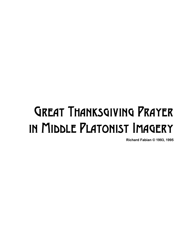## Great Thanksgiving Prayer in Middle Platonist Imagery

**Richard Fabian © 1993, 1995**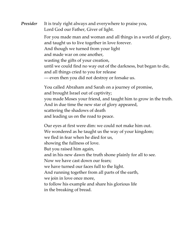*Presider* It is truly right always and everywhere to praise you, Lord God our Father, Giver of light.

> For you made man and woman and all things in a world of glory, and taught us to live together in love forever. And though we turned from your light and made war on one another, wasting the gifts of your creation, until we could find no way out of the darkness, but began to die, and all things cried to you for release — even then you did not destroy or forsake us.

You called Abraham and Sarah on a journey of promise, and brought Israel out of captivity; you made Moses your friend, and taught him to grow in the truth. And in due time the new star of glory appeared, scattering the shadows of death and leading us on the road to peace.

Our eyes at first were dim: we could not make him out. We wondered as he taught us the way of your kingdom; we fled in fear when he died for us, showing the fullness of love. But you raised him again, and in his new dawn the truth shone plainly for all to see. Now we have cast down our fears; we have turned our faces full to the light. And running together from all parts of the earth, we join in love once more, to follow his example and share his glorious life in the breaking of bread.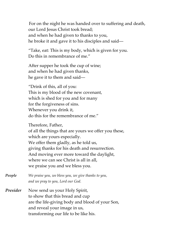For on the night he was handed over to suffering and death, our Lord Jesus Christ took bread; and when he had given to thanks to you, he broke it and gave it to his disciples and said—

"Take, eat: This is my body, which is given for you. Do this in remembrance of me."

After supper he took the cup of wine; and when he had given thanks, he gave it to them and said—

"Drink of this, all of you: This is my blood of the new covenant, which is shed for you and for many for the forgiveness of sins. Whenever you drink it, do this for the remembrance of me."

Therefore, Father, of all the things that are yours we offer you these, which are yours especially. We offer them gladly, as he told us, giving thanks for his death and resurrection. And moving ever more toward the daylight, where we can see Christ is all in all, we praise you and we bless you.

*People We praise you, we bless you, we give thanks to you, and we pray to you, Lord our God.*

*Presider* Now send us your Holy Spirit, to show that this bread and cup are the life-giving body and blood of your Son, and reveal your image in us, transforming our life to be like his.